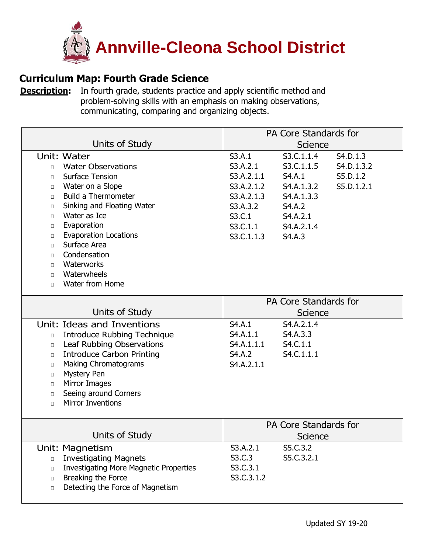

## **Curriculum Map: Fourth Grade Science**

**[Description:](https://ohsweb.cliu.org/EdInsightAnnvilleCleona/Form/Curriculum/CurriculumMapView.aspx?args=jZAC2VDJ5vsfUn6M5XufcoTAw4yGWZRnAwN39r3Jo8MwIVHEONQNvoThBA3GkgoEHalp1vB3pnd+XeXR7trH3Q==)** In fourth grade, students practice and apply scientific method and problem-solving skills with an emphasis on making observations, communicating, comparing and organizing objects.

|                                                                                                                                                                                                                                                                                                                                                                                                                                     | PA Core Standards for                                                                                        |                                                                                                              |                                                  |
|-------------------------------------------------------------------------------------------------------------------------------------------------------------------------------------------------------------------------------------------------------------------------------------------------------------------------------------------------------------------------------------------------------------------------------------|--------------------------------------------------------------------------------------------------------------|--------------------------------------------------------------------------------------------------------------|--------------------------------------------------|
| Units of Study                                                                                                                                                                                                                                                                                                                                                                                                                      | <b>Science</b>                                                                                               |                                                                                                              |                                                  |
| Unit: Water<br><b>Water Observations</b><br>$\Box$<br><b>Surface Tension</b><br>$\Box$<br>Water on a Slope<br>$\Box$<br><b>Build a Thermometer</b><br>$\Box$<br>Sinking and Floating Water<br>$\Box$<br>Water as Ice<br>$\Box$<br>Evaporation<br>$\Box$<br><b>Evaporation Locations</b><br>$\Box$<br>Surface Area<br>$\Box$<br>Condensation<br>$\Box$<br>Waterworks<br>$\Box$<br>Waterwheels<br>$\Box$<br>Water from Home<br>$\Box$ | S3.A.1<br>S3.A.2.1<br>S3.A.2.1.1<br>S3.A.2.1.2<br>S3.A.2.1.3<br>S3.A.3.2<br>S3.C.1<br>S3.C.1.1<br>S3.C.1.1.3 | S3.C.1.1.4<br>S3.C.1.1.5<br>S4.A.1<br>S4.A.1.3.2<br>S4.A.1.3.3<br>S4.A.2<br>S4.A.2.1<br>S4.A.2.1.4<br>S4.A.3 | S4.D.1.3<br>S4.D.1.3.2<br>S5.D.1.2<br>S5.D.1.2.1 |
|                                                                                                                                                                                                                                                                                                                                                                                                                                     | PA Core Standards for                                                                                        |                                                                                                              |                                                  |
| Units of Study                                                                                                                                                                                                                                                                                                                                                                                                                      | <b>Science</b>                                                                                               |                                                                                                              |                                                  |
| Unit: Ideas and Inventions<br><b>Introduce Rubbing Technique</b><br>$\Box$<br>Leaf Rubbing Observations<br>$\Box$<br><b>Introduce Carbon Printing</b><br>$\Box$<br><b>Making Chromatograms</b><br>$\Box$<br><b>Mystery Pen</b><br>$\Box$<br>Mirror Images<br>$\Box$<br>Seeing around Corners<br>$\Box$<br><b>Mirror Inventions</b><br>$\Box$                                                                                        | S4.A.1<br>S4.A.1.1<br>S4.A.1.1.1<br>S4.A.2<br>S4.A.2.1.1                                                     | S4.A.2.1.4<br>S4.A.3.3<br>S4.C.1.1<br>S4.C.1.1.1                                                             |                                                  |
|                                                                                                                                                                                                                                                                                                                                                                                                                                     | PA Core Standards for                                                                                        |                                                                                                              |                                                  |
| Units of Study                                                                                                                                                                                                                                                                                                                                                                                                                      | Science                                                                                                      |                                                                                                              |                                                  |
| Unit: Magnetism<br><b>Investigating Magnets</b><br>$\Box$<br><b>Investigating More Magnetic Properties</b><br>$\Box$<br>Breaking the Force<br>$\Box$<br>Detecting the Force of Magnetism<br>$\Box$                                                                                                                                                                                                                                  | S3.A.2.1<br>S3.C.3<br>S3.C.3.1<br>S3.C.3.1.2                                                                 | S5.C.3.2<br>S5.C.3.2.1                                                                                       |                                                  |